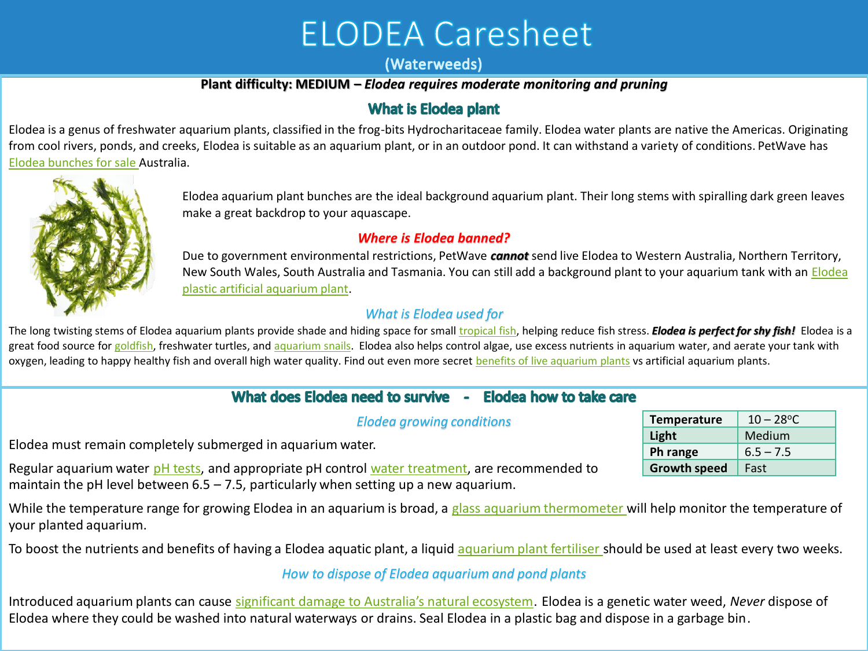# **ELODEA Caresheet**

### (Waterweeds)

## **Plant difficulty: MEDIUM –** *Elodea requires moderate monitoring and pruning*

# **What is Elodea plant**

Elodea is a genus of freshwater aquarium plants, classified in the frog-bits Hydrocharitaceae family. Elodea water plants are native the Americas. Originating from cool rivers, ponds, and creeks, Elodea is suitable as an aquarium plant, or in an outdoor pond. It can withstand a variety of conditions. PetWave has [Elodea bunches for sale](https://www.petwave.com.au/elodea-supreme) Australia.



Elodea aquarium plant bunches are the ideal background aquarium plant. Their long stems with spiralling dark green leaves make a great backdrop to your aquascape.

## *Where is Elodea banned?*

Due to government environmental restrictions, PetWave *cannot* send live Elodea to Western Australia, Northern Territory, New South Wales, South Australia and Tasmania. You can still add a background plant to your aquarium tank with an [Elodea](https://www.petwave.com.au/elodea-plastic) [plastic artificial aquarium plant](https://www.petwave.com.au/elodea-plastic).

### *What is Elodea used for*

The long twisting stems of Elodea aquarium plants provide shade and hiding space for small *[tropical fish](https://www.petwave.com.au/aquarium/live-fish/)*, helping reduce fish stress. **Elodea is perfect for shy fish!** Elodea is a great food source for [goldfish](https://www.petwave.com.au/?rf=kw&kw=goldfish), freshwater turtles, and [aquarium snails](https://www.petwave.com.au/aquarium/aquatic-snails/). Elodea also helps control algae, use excess nutrients in aquarium water, and aerate your tank with oxygen, leading to happy healthy fish and overall high water quality. Find out even more secret [benefits of live aquarium plants](https://www.petwave.com.au/blog/our-blog/secret-benefits-of-live-aquarium-plants/) vs artificial aquarium plants.

# What does Elodea need to survive - Elodea how to take care

*Elodea growing conditions*  Elodea must remain completely submerged in aquarium water. Regular aquarium water [pH tests,](https://www.petwave.com.au/aquarium/aquarium-water-test/ph-test-kit/) and appropriate pH control [water treatment,](https://www.petwave.com.au/aquarium/water-treatments-and-remedies/ph-control/) are recommended to maintain the pH level between  $6.5 - 7.5$ , particularly when setting up a new aquarium. **Light** Medium **Ph range** | 6.5 – 7.5 **Growth speed** Fast

While the temperature range for growing Elodea in an aquarium is broad, a [glass aquarium thermometer w](https://www.petwave.com.au/thermometer-glass)ill help monitor the temperature of your planted aquarium.

To boost the nutrients and benefits of having a Elodea aquatic plant, a liquid [aquarium plant fertiliser s](https://www.petwave.com.au/enrich-water-treatment)hould be used at least every two weeks.

#### *How to dispose of Elodea aquarium and pond plants*

Introduced aquarium plants can cause [significant damage to Australia's natural ecosystem](https://www.petwave.com.au/blog/our-blog/are-you-a-well-intentioned-aquarium-terrorist/). Elodea is a genetic water weed, *Never* dispose of Elodea where they could be washed into natural waterways or drains. Seal Elodea in a plastic bag and dispose in a garbage bin.

| <b>Temperature</b>  | $10 - 28$ °C |
|---------------------|--------------|
| Light               | Medium       |
| Ph range            | $6.5 - 7.5$  |
| <b>Growth speed</b> | Fast         |